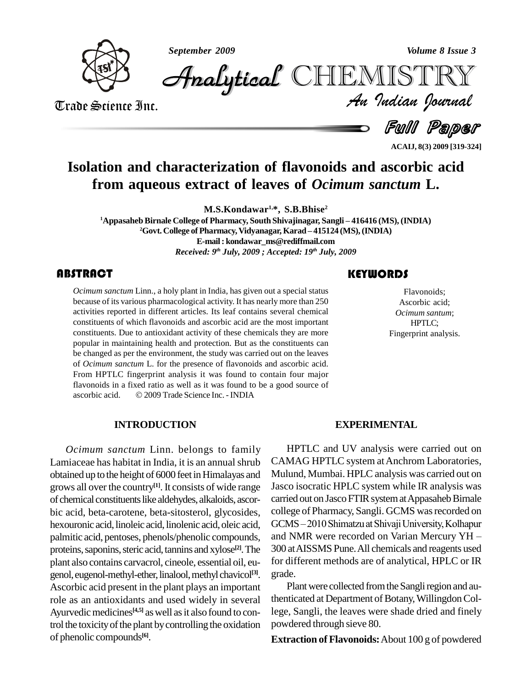*September 2009 Volume 8 Issue 3*



*Volume 8 Issue 3*<br>IISTRY<br>*Indian Iournal* CHEMISTRY

Trade Science Inc. Trade Science Inc.

**Full Paper** 

**ACAIJ, 8(3) 2009 [319-324]**

# **Isolation and characterization of flavonoids and ascorbic acid from aqueous extract of leaves of** *Ocimum sanctum* **L.**

**M.S.Kondawar 1,\*, S.B.Bhise 2**

**<sup>1</sup>Appasaheb Birnale College of Pharmacy, South Shivajinagar, Sangli <sup>ñ</sup> <sup>416416</sup> (MS), (INDIA) 2** M.S.Kondawar<sup>1,\*</sup>, S.B.Bhise<sup>2</sup><br>22 Govt. College of Pharmacy, South Shivajinagar, Sangli – 416416 (MS), (INDIA)<br>22 Govt. College of Pharmacy, Vidyanagar, Karad – 415124 (MS), (INDIA) **E-mail: [kondawar\\_ms@rediffmail.com](mailto:kondawar_ms@rediffmail.com)** *Received: 9 th July, 2009 ; Accepted: 19 th July, 2009*

### **ABSTRACT**

Ocimum sanctum Linn., because of its various pha<br>activities reported in dif *Ocimum sanctum* Linn., a holy plant in India, has given out a special status because of its various pharmacological activity. It has nearly more than 250 activities reported in different articles. Its leaf contains several chemical constituents of which flavonoids and ascorbic acid are the most important constituents. Due to antioxidant activity of these chemicals they are more popular in maintaining health and protection. But as the constituents can be changed as per the environment, the study was carried out on the leaves of *Ocimum sanctum* L. for the presence of flavonoids and ascorbic acid. From HPTLC fingerprint analysis it was found to contain four major flavonoids in a fixed ratio as well as itwas found to be a good source of From HPTLC fingerprint analysis it was found to contain fou<br>flavonoids in a fixed ratio as well as it was found to be a good s<br>ascorbic acid. © 2009 Trade Science Inc. - INDIA

#### **INTRODUCTION**

*Ocimum sanctum* Linn. belongs to family Lamiaceae has habitat in India, it is an annual shrub obtained up to the height of 6000 feet in Himalayas and grows all over the country **[1]**. It consists of wide range of chemical constituents like aldehydes, alkaloids, ascorbic acid, beta-carotene, beta-sitosterol, glycosides, hexouronic acid, linoleic acid, linolenic acid, oleic acid, GCMS-2010 Shimatzu at Shivaji University, Kolhapur palmitic acid, pentoses, phenols/phenolic compounds, and NMR were recorded on Varian Mercury YH – proteins, saponins, steric acid, tannins and xylose<sup>[2]</sup>. The 300 at plant also contains carvacrol, cineole, essential oil, eu genol, eugenol-methyl-ether, linalool, methyl chavicol<sup>[3]</sup>. gr Ascorbic acid present in the plant plays an important role as an antioxidants and used widely in several Ayurvedic medicines<sup>[4,5]</sup> as well as it also found to con- le trol the toxicity of the plant by controlling the oxidation of phenolic compounds **[6]**.

## **KEYWORDS**

Flavonoids;<br>Flavonoids;<br>Ascorbic acid<br>*Ocimum santu* Flavonoids; Ascorbic acid; *Ocimum santum*; HPTLC; Fingerprint analysis.

#### **EXPERIMENTAL**

HPTLC and UV analysis were carried out on CAMAG HPTLC system at Anchrom Laboratories, Mulund, Mumbai. HPLC analysis was carried out on Jasco isocratic HPLC system while IR analysis was carried out on Jasco FTIR system at Appasaheb Birnale college of Pharmacy, Sangli. GCMS was recorded on carried out on Jasco FTIR system at Appasaheb Birnale<br>college of Pharmacy, Sangli. GCMS was recorded on<br>GCMS – 2010 Shimatzu at Shivaji University, Kolhapur college of Pharmacy, Sangli. GCMS was recorded on<br>GCMS – 2010 Shimatzu at Shivaji University, Kolhapur<br>and NMR were recorded on Varian Mercury YH – 300 atAISSMS Pune.All chemicals and reagents used for different methods are of analytical, HPLC or IR grade.

Plant were collected from the Sangli region and authenticated at Department of Botany, Willingdon College, Sangli, the leaves were shade dried and finely powdered through sieve 80.

**Extraction of Flavonoids:**About 100 g of powdered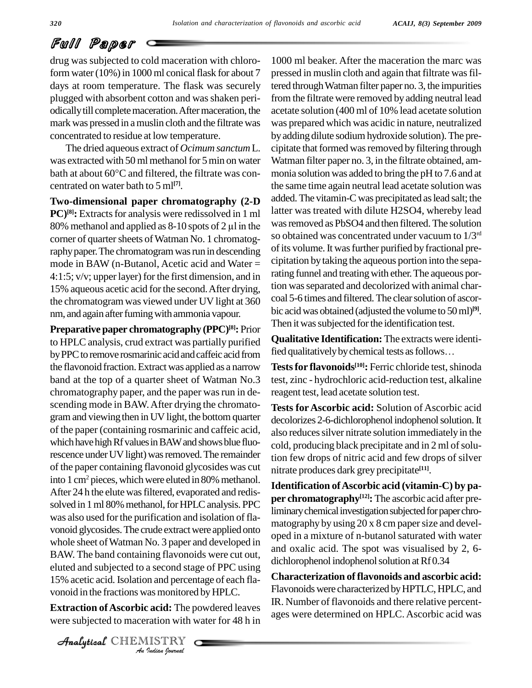# Full Paper

drug was subjected to cold maceration with chloroform water  $(10\%)$  in 1000 ml conical flask for about 7 days at room temperature. The flask was securely plugged with absorbent cotton and was shaken periodicallytill completemaceration.Aftermaceration, the mark was pressed in amuslin cloth and the filtrate was concentrated to residue at low temperature.

The dried aqueous extract of *Ocimum sanctum* L. was extracted with 50 ml methanol for 5 min on water Wat The dried aqueous extract of *Ocimum sanctum* L. cipi<br>was extracted with 50 ml methanol for 5 min on water Wat<br>bath at about 60 $^{\circ}$ C and filtered, the filtrate was concentrated on water bath to 5 ml **[7]**.

**Two-dimensional paper chromatography (2-D PC**)<sup>[8]</sup>: Extracts for analysis were redissolved in 1 ml latter **Two-dimensional paper chromatography (2-D** added<br>**PC**)<sup>[8]</sup>: Extracts for analysis were redissolved in 1 ml latter<br>80% methanol and applied as 8-10 spots of 2 µl in the was re corner of quarter sheets of Watman No. 1 chromatography paper. The chromatogram was run in descending mode in BAW (n-Butanol, Acetic acid and Water = 4:1:5; v/v; upperlayer) for the first dimension, and in 15% aqueous acetic acid for the second.After drying, the chromatogram was viewed under UV light at 360 nm, and again after fuming with ammonia vapour.

15% acetic acid. Isolation and percentage of each fla- $\Gamma$ *In* and percent<br> *Indian Indian*<br> *ISTRY*<br> *ISTRY* **Preparative paper chromatography (PPC) [8]:** Prior to HPLC analysis, crud extract was partially purified **Qualitative Identification:** The extracts were by PPC to remove rosmarinic acid and caffeic acid from fied qualitatively by chemical tests as follows... by PPC to remove rosmarinic acid and caffeic acid from the flavonoid fraction.Extract was applied as a narrow band at the top of a quarter sheet of Watman No.3 chromatography paper, and the paper was run in descending mode in BAW.After drying the chromato gram and viewing then in UV light, the bottom quarter of the paper (containing rosmarinic and caffeic acid, which have high Rf values in BAW and shows blue fluorescence under UV light) was removed. The remainder of the paper containing flavonoid glycosides was cut into 1 cm<sup>2</sup> pieces, which were eluted in 80% methanol. After 24 h the elute was filtered, evaporated and redissolved in 1 ml 80% methanol, for HPLC analysis. PPC was also used for the purification and isolation of flavonoid glycosides.The crude extractwere applied onto whole sheet of Watman No. 3 paper and developed in BAW. The band containing flavonoids were cut out, eluted and subjected to a second stage of PPC using vonoid in the fractions was monitored by HPLC.

**Extraction of Ascorbic acid:** The powdered leaves were subjected to maceration with water for 48 h in 1000 ml beaker. After the maceration the marc was pressed in muslin cloth and again that filtrate was filtered through Watman filter paper no. 3, the impurities from the filtrate were removed by adding neutral lead acetate solution (400 ml of 10% lead acetate solution was prepared which was acidic in nature, neutralized byadding dilute sodiumhydroxide solution).The pre cipitate that formed was removed by filtering through Watman filter paper no. 3, in the filtrate obtained, am monia solution was added to bring the pH to 7.6 and at the same time again neutral lead acetate solution was added. The vitamin-C was precipitated as lead salt; the latter was treated with dilute H2SO4, whereby lead was removed as PbSO4 and then filtered. The solution so obtained was concentrated under vacuum to 1/3 rd of its volume. It was further purified by fractional precipitation bytaking the aqueous portion into the separating funnel and treating with ether. The aqueous portion wasseparated and decolorized with animal char coal 5-6 times and filtered.The clearsolution of ascor bic acidwas obtained (adjusted the volume to 50ml) **[9]**. Then it was subjected for the identification test.

**Qualitative Identification:** The extractswere identi-Then it was subjected for the identification test.<br>**Qualitative Identification:** The extracts were identi-<br>fied qualitatively by chemical tests as follows...

**Testsfor flavonoids [10]:** Ferric chloride test,shinoda test, zinc - hydrochloric acid-reduction test, alkaline reagent test, lead acetate solution test.

**Tests for Ascorbic acid:** Solution of Ascorbic acid decolorizes 2-6-dichlorophenol indophenol solution. It also reduces silver nitrate solution immediately in the cold, producing black precipitate and in 2 ml of solution few drops of nitric acid and few drops of silver nitrate produces dark grey precipitate **[11]**.

**Identification ofAscorbic acid (vitamin-C) by pa per chromatography [12]:** The ascorbic acid after preliminary chemical investigation subjected for paper chromatography by using 20 x 8 cm paper size and developed in a mixture of n-butanol saturated with water and oxalic acid. The spot was visualised by 2, 6 dichlorophenol indophenol solution at Rf0.34

**Characterization of flavonoids and ascorbic acid:** Flavonoids were characterized by HPTLC, HPLC, and IR. Number of flavonoids and there relative percent ages were determined on HPLC. Ascorbic acid was

CHEMISTRY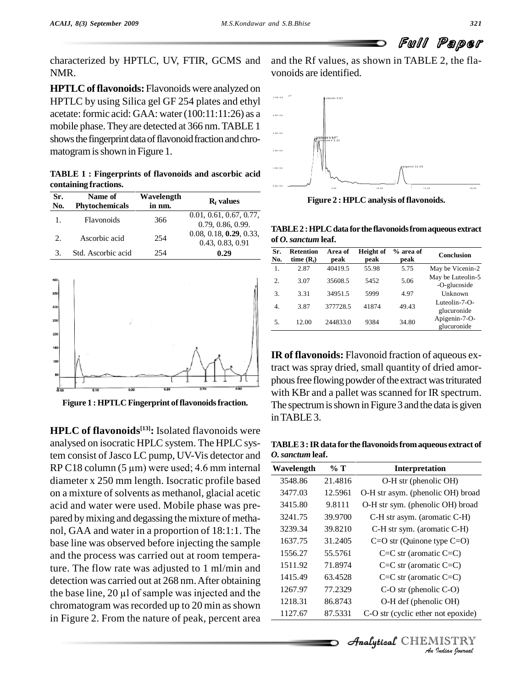characterized by HPTLC, UV, FTIR, GCMS and NMR.

**HPTLC offlavonoids:** Flavonoids were analyzed on HPTLC byusing Silica gel GF 254 plates and ethyl acetate: formic acid: GAA: water $(100:11:11:26)$  as a mobile phase. They are detected at 366 nm. TABLE 1 shows the fingerprint data of flavonoid fraction and chromatogram is shown in Figure 1.

**TABLE 1 : Fingerprints of flavonoids and ascorbic acid containing fractions.**

| Sr.<br>No. | Name of<br><b>Phytochemicals</b> | Wavelength<br>in nm. | $Rf$ values                                  |                                         |
|------------|----------------------------------|----------------------|----------------------------------------------|-----------------------------------------|
|            | Flavonoids                       | 366                  | 0.01, 0.61, 0.67, 0.77,<br>0.79, 0.86, 0.99. |                                         |
| 2.         | Ascorbic acid                    | 254                  | 0.08, 0.18, 0.29, 0.33,<br>0.43, 0.83, 0.91  | T/<br>of                                |
| 3.         | Std. Ascorbic acid               | 254                  | 0.29                                         | $\overline{\mathbf{S}}$ r<br><b>NT.</b> |



**Figure 1 : HPTLC Fingerprint of flavonoids fraction.** 

**HPLC of flavonoids [13]:** Isolated flavonoids were analysed on isocratic HPLC system. The HPLC system consist of Jasco LC pump, UV-Vis detector and O. sanct analysed on isocratic HPLC system. The HPLC sys-<br>tem consist of Jasco LC pump, UV-Vis detector and  $\frac{0.86}{0.86}$ <br>RP C18 column (5 µm) were used; 4.6 mm internal wa diameter x 250 mm length. Isocratic profile based on a mixture of solvents as methanol, glacial acetic acid and water were used. Mobile phase was pre pared bymixing and degassing themixture of metha nol, GAA andwater in a proportion of 18:1:1. The base line was observed before injecting the sample and the process was carried out at room temperature. The flow rate was adjusted to 1 ml/min and<br>detection was carried out at 268 nm. After obtaining<br>the base line, 20 µl of sample was injected and the 1267. detection was carried out at 268 nm. After obtaining chromatogram was recorded up to 20 min as shown in Figure 2. From the nature of peak, percent area

and the Rf values, as shown in TABLE 2, the fla vonoids are identified.



**Figure 2 : HPLC** analysis of flavonoids.

**TABLE2 :HPLCdata forthe flavonoidsfromaqueous extract of** *O.sanctum* **leaf.**

| Sr.<br>No. | Retention<br>time $(R_t)$ | Area of<br>peak | Height of<br>peak | % area of<br>peak | <b>Conclusion</b>                 |
|------------|---------------------------|-----------------|-------------------|-------------------|-----------------------------------|
| 1.         | 2.87                      | 40419.5         | 55.98             | 5.75              | May be Vicenin-2                  |
| 2.         | 3.07                      | 35608.5         | 5452              | 5.06              | May be Luteolin-5<br>-O-glucoside |
| 3.         | 3.31                      | 34951.5         | 5999              | 4.97              | Unknown                           |
| 4.         | 3.87                      | 377728.5        | 41874             | 49.43             | Luteolin-7-O-<br>glucuronide      |
| 5.         | 12.00                     | 244833.0        | 9384              | 34.80             | Apigenin-7-O-<br>glucuronide      |

**IR of flavonoids:** Flavonoid fraction of aqueous extract was spray dried, small quantity of dried amor phous free flowing powder of the extract was triturated with KBr and a pallet was scanned for IR spectrum. The spectrum is shown in Figure 3 and the data is given inTABLE3.

**TABLE3 :IR data for the flavonoidsfromaqueous extract of** *O.sanctum* **leaf.**

| Wavelength | % T     | Interpretation                                   |
|------------|---------|--------------------------------------------------|
| 3548.86    | 21.4816 | O-H str (phenolic OH)                            |
| 3477.03    | 12.5961 | O-H str asym. (phenolic OH) broad                |
| 3415.80    | 9.8111  | O-H str sym. (phenolic OH) broad                 |
| 3241.75    | 39.9700 | C-H str asym. (aromatic C-H)                     |
| 3239.34    | 39.8210 | C-H str sym. (aromatic C-H)                      |
| 1637.75    | 31.2405 | $C=O$ str (Quinone type $C=O$ )                  |
| 1556.27    | 55.5761 | $C=C$ str (aromatic $C=C$ )                      |
| 1511.92    | 71.8974 | $C=C$ str (aromatic $C=C$ )                      |
| 1415.49    | 63.4528 | $C=C$ str (aromatic $C=C$ )                      |
| 1267.97    | 77.2329 | $C-O$ str (phenolic $C-O$ )                      |
| 1218.31    | 86.8743 | O-H def (phenolic OH)                            |
| 1127.67    | 87.5331 | C-O str (cyclic ether not epoxide)               |
|            |         |                                                  |
|            |         | <b>Analytical</b> CHEMISTRY<br>An Indian Nournal |

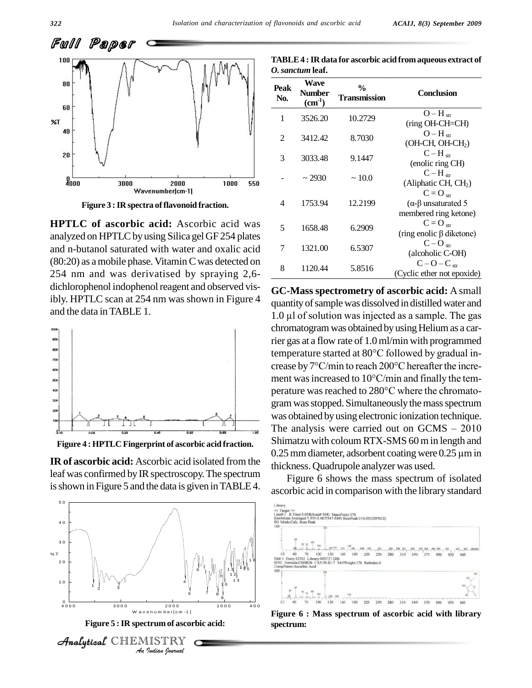



**Figure 3 :IR spectra offlavonoid fraction.**

**HPTLC of ascorbic acid:** Ascorbic acid was analyzed on HPTLC by using Silica gel GF 254 plates and n-butanol saturated with water and oxalic acid  $(80:20)$  as a mobile phase. Vitamin C was detected on 254 nm and was derivatised by spraying 2,6 dichlorophenol indophenol reagent and observed visibly. HPTLC scan at 254 nm was shown in Figure 4  $\alpha$ and the data in TABLE 1.<br>
and the data in TABLE 1.<br>  $\frac{10 \text{ ul of solution was injected as a sample.} \times \text{R}}{10 \text{ ul of solution was injected as a sample.}}$ 



**Figure 4 : HPTLC Fingerprint of ascorbic acid fraction.**

leaf was confirmed by IR spectroscopy. The spectrum is shown in Figure 5 and the data is given in TABLE 4.



Analytical  $\mathbb{C}\mathbb{H} \mathbb{E}$ 

| TABLE 4 : IR data for ascorbic acid from aqueous extract of |  |
|-------------------------------------------------------------|--|
| <i>O. sanctum</i> leaf.                                     |  |

| Peak<br>No. | Wave<br>Number<br>$(cm-1)$ | $\frac{0}{0}$<br>Transmission | <b>Conclusion</b>                                               |
|-------------|----------------------------|-------------------------------|-----------------------------------------------------------------|
| 1           | 3526.20                    | 10.2729                       | $O-Hstr$<br>(ring OH-CH=CH)                                     |
| 2           | 3412.42                    | 8.7030                        | $O-Hstr$<br>(OH-CH, OH-CH <sub>2</sub> )                        |
| 3           | 3033.48                    | 9.1447                        | $C-Hstr$<br>(enolic ring CH)                                    |
|             | $\sim$ 2930                | ~10.0                         | $C-H_{str}$<br>(Aliphatic CH, CH <sub>2</sub> )                 |
| 4           | 1753.94                    | 12.2199                       | $C = O_{str}$<br>$(α$ -β unsaturated 5<br>membered ring ketone) |
| 5           | 1658.48                    | 6.2909                        | $C = O_{str}$<br>(ring enolic $\beta$ diketone)                 |
| 7           | 1321.00                    | 6.5307                        | $C-Ostr$<br>(alcoholic C-OH)                                    |
| 8           | 1120.44                    | 5.8516                        | $C-O-Cstr$<br>(Cyclic ether not epoxide)                        |

quantityofsamplewas dissolved in distilled water and **GC-Mass spectrometry of ascorbic acid:** A small quantity of sample was dissolved in distilled water and  $1.0 \mu$  of solution was injected as a sample. The gas chromatogram was obtained by using Helium as a carrier gas ata flow rate of 1.0ml/min with programmed chromatogram was obtained by using Helium as a carrier gas at a flow rate of 1.0 ml/min with programmed<br>temperature started at 80°C followed by gradual inrier gas at a flow rate of 1.0 ml/min with programmed<br>temperature started at 80°C followed by gradual increase by 7°C/min to reach 200°C hereafter the incretemperature started at 80°C followed by gradual increase by  $7^{\circ}$ C/min to reach 200°C hereafter the increment was increased to  $10^{\circ}$ C/min and finally the temcrease by 7°C/min to reach 200°C hereafter the increment was increased to  $10^{\circ}$ C/min and finally the temperature was reached to 280°C where the chromatogram was stopped. Simultaneously the mass spectrum was obtained byusing electronic ionization technique. gram was stopped. Simultaneously the mass spectrum<br>was obtained by using electronic ionization technique.<br>The analysis were carried out on GCMS – 2010 Shimatzu with coloum RTX-SMS 60 min length and The analysis were carried out on  $GCMS - 2010$ <br>Shimatzu with coloum RTX-SMS 60 m in length and<br>0.25 mm diameter, adsorbent coating were 0.25  $\mu$ m in thickness. Quadrupole analyzer was used. **IR of ascorbic acid:** Ascorbic acid isolated from the 0.25 mm diameter, adsorbent coating were 0.25  $\mu$ m in

> Figure 6 shows the mass spectrum of isolated ascorbic acid in comparison with the library standard



**Figure 6 : Mass spectrum of ascorbic acid with library spectrum:**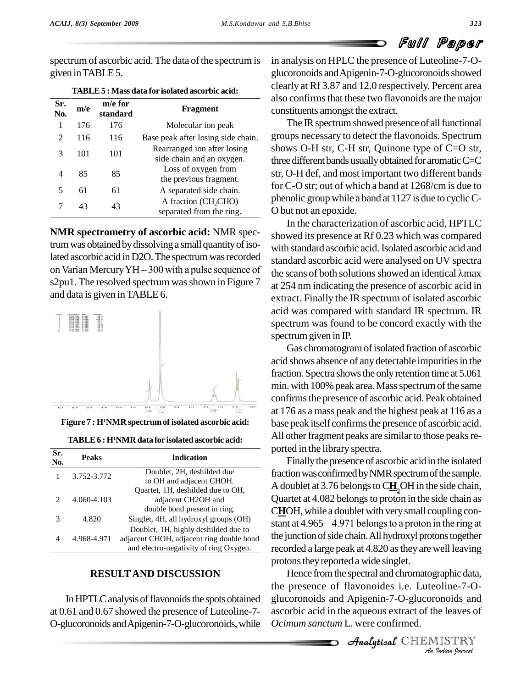# Full Paper

spectrum of ascorbic acid. The data of the spectrum is given inTABLE5.

| Sr.<br>No. | m/e | m/e for<br>standard | Fragment                                                 |
|------------|-----|---------------------|----------------------------------------------------------|
| 1          | 176 | 176                 | Molecular ion peak                                       |
| 2          | 116 | 116                 | Base peak after losing side chain.                       |
| 3          | 101 | 101                 | Rearranged ion after losing<br>side chain and an oxygen. |
|            | 85  | 85                  | Loss of oxygen from<br>the previous fragment.            |
| 5          | 61  | 61                  | A separated side chain.                                  |
|            | 43  | 43                  | A fraction $(CH_2CHO)$<br>separated from the ring.       |

**TABLE5 : Mass data for isolated ascorbic acid:**

**NMR spectrometry of ascorbic acid:** NMR spectrum was obtained by dissolving a small quantity of isolated ascorbic acid in D2O. The spectrum was recorded on Varian Mercury YH – 300 with a pulse sequence of the scans of both solutions showed an identical  $\lambda$ max s2pu1. The resolved spectrum was shown in Figure 7 and data is given inTABLE 6.



**Figure 7 : H<sup>1</sup>NMR spectrumof isolated ascorbic acid:**

| TABLE 6 : H <sup>1</sup> NMR data for isolated ascorbic acid: |  |  |
|---------------------------------------------------------------|--|--|
|---------------------------------------------------------------|--|--|

| Sr.<br>No.                  | <b>Peaks</b> | <b>Indication</b>                                                                                                          | puu                        |
|-----------------------------|--------------|----------------------------------------------------------------------------------------------------------------------------|----------------------------|
|                             | 3.752-3.772  | Doublet, 2H, deshilded due<br>to OH and adjacent CHOH.                                                                     | fract                      |
| $\mathcal{D}_{\mathcal{A}}$ | 4.060-4.103  | Quartet, 1H, deshilded due to OH,<br>adjacent CH2OH and<br>double bond present in ring.                                    | A do<br>Qua<br>CH(         |
| 3                           | 4.820        | Singlet, 4H, all hydroxyl groups (OH)                                                                                      | stant                      |
| 4                           | 4.968-4.971  | Doublet, 1H, highly deshilded due to<br>adjacent CHOH, adjacent ring double bond<br>and electro-negativity of ring Oxygen. | the $\mathfrak{p}$<br>reco |

### **RESULTAND DISCUSSION**

In HPTLC analysis of flavonoids the spots obtained at 0.61 and 0.67 showed the presence of Luteoline-7- O-glucoronoids andApigenin-7-O-glucoronoids,while in analysis on HPLC the presence of Luteoline-7-O glucoronoids and Apigenin-7-O-glucoronoids showed clearly at Rf 3.87 and 12.0 respectively. Percent area also confirms that these two flavonoids are the major constituents amongst the extract.

The IR spectrum showed presence of all functional groups necessary to detect the flavonoids. Spectrum shows O-H str, C-H str, Quinone type of C=O str, three different bands usually obtained for aromatic  $C=C$ str, O-H def, and most important two different bands for C-O str; out of which a band at  $1268/cm$  is due to phenolic group while a band at  $1127$  is due to cyclic C-O but not an epoxide.

In the characterization of ascorbic acid, HPTLC showed its presence at Rf 0.23 which was compared with standard ascorbic acid. Isolated ascorbic acid and<br>standard ascorbic acid were analysed on UV spectra<br>the scans of both solutions showed an identical  $\lambda$ max standard ascorbic acid were analysed on UV spectra at 254 nm indicating the presence of ascorbic acid in extract. Finally the IR spectrum of isolated ascorbic acid was compared with standard IR spectrum. IR spectrum was found to be concord exactly with the spectrum given in IP.

Gas chromatogram of isolated fraction of ascorbic acid shows absence of any detectable impurities in the fraction. Spectra shows the only retention time at 5.061 min. with 100% peak area. Mass spectrum of the same confirms the presence of ascorbic acid. Peak obtained at 176 as a mass peak and the highest peak at 116 as a base peak itself confirms the presence of ascorbic acid. All other fragment peaks are similar to those peaks reported in the library spectra.

Finallythe presence of ascorbic acid in the isolated fraction was confirmed by NMR spectrum of the sample. A doublet at 3.76 belongs to  $C\underline{H}_2$ OH in the side chain, Quartet at 4.082 belongs to proton in the side chain as CHOH, while a doublet with very small coupling con-Quartet at 4.082 belongs to proton in the side chain as<br>CHOH, while a doublet with very small coupling con-<br>stant at 4.965 – 4.971 belongs to a proton in the ring at the junction of side chain. All hydroxyl protons together recorded a large peak at 4.820 as they are well leaving protons they reported a wide singlet.

*An*Hence fromthe spectral and chromatographic data, *I*<br>*Indian*<br>*Indian*<br>*IISTRY*<br>*IISTRY*<br>*Indian hournal* the presence of flavonoides i.e. Luteoline-7-Oglucoronoids and Apigenin-7-O-glucoronoids and ascorbic acid in the aqueous extract of the leaves of *Ocimum sanctum* L. were confirmed.

**Analytical** CHEMISTRY